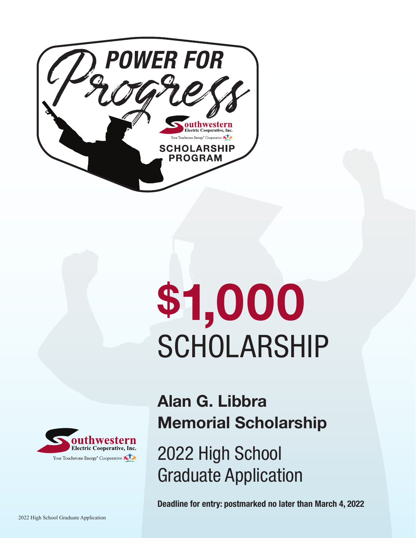

# \$1,000 SCHOLARSHIP



Alan G. Libbra Memorial Scholarship

2022 High School Graduate Application

Deadline for entry: postmarked no later than March 4, 2022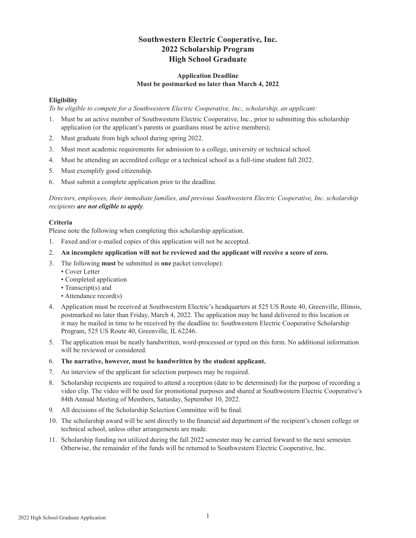# **Southwestern Electric Cooperative, Inc. 2022 Scholarship Program High School Graduate**

#### **Application Deadline Must be postmarked no later than March 4, 2022**

#### **Eligibility**

*To be eligible to compete for a Southwestern Electric Cooperative, Inc., scholarship, an applicant:*

- 1. Must be an active member of Southwestern Electric Cooperative, Inc., prior to submitting this scholarship application (or the applicant's parents or guardians must be active members);
- 2. Must graduate from high school during spring 2022.
- 3. Must meet academic requirements for admission to a college, university or technical school.
- 4. Must be attending an accredited college or a technical school as a full-time student fall 2022.
- 5. Must exemplify good citizenship.
- 6. Must submit a complete application prior to the deadline.

*Directors, employees, their immediate families, and previous Southwestern Electric Cooperative, Inc. scholarship recipients are not eligible to apply.*

#### **Criteria**

Please note the following when completing this scholarship application.

- 1. Faxed and/or e-mailed copies of this application will not be accepted.
- 2. **An incomplete application will not be reviewed and the applicant will receive a score of zero.**
- 3. The following **must** be submitted in **one** packet (envelope):
	- Cover Letter
	- Completed application
	- Transcript(s) and
	- Attendance record(s)
- 4. Application must be received at Southwestern Electric's headquarters at 525 US Route 40, Greenville, Illinois, postmarked no later than Friday, March 4, 2022. The application may be hand delivered to this location or it may be mailed in time to be received by the deadline to: Southwestern Electric Cooperative Scholarship Program, 525 US Route 40, Greenville, IL 62246.
- 5. The application must be neatly handwritten, word-processed or typed on this form. No additional information will be reviewed or considered.
- 6. **The narrative, however, must be handwritten by the student applicant.**
- 7. An interview of the applicant for selection purposes may be required.
- 8. Scholarship recipients are required to attend a reception (date to be determined) for the purpose of recording a video clip. The video will be used for promotional purposes and shared at Southwestern Electric Cooperative's 84th Annual Meeting of Members, Saturday, September 10, 2022.
- 9. All decisions of the Scholarship Selection Committee will be final.
- 10. The scholarship award will be sent directly to the financial aid department of the recipient's chosen college or technical school, unless other arrangements are made.
- 11. Scholarship funding not utilized during the fall 2022 semester may be carried forward to the next semester. Otherwise, the remainder of the funds will be returned to Southwestern Electric Cooperative, Inc.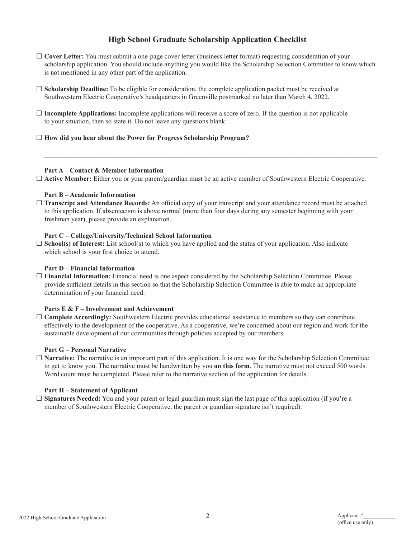# **High School Graduate Scholarship Application Checklist**

- **Cover Letter:** You must submit a one-page cover letter (business letter format) requesting consideration of your scholarship application. You should include anything you would like the Scholarship Selection Committee to know which is not mentioned in any other part of the application.
- **Scholarship Deadline:** To be eligible for consideration, the complete application packet must be received at Southwestern Electric Cooperative's headquarters in Greenville postmarked no later than March 4, 2022.
- **Incomplete Applications:** Incomplete applications will receive a score of zero. If the question is not applicable to your situation, then so state it. Do not leave any questions blank.
- **How did you hear about the Power for Progress Scholarship Program?**

#### **Part A – Contact & Member Information**

**Active Member:** Either you or your parent/guardian must be an active member of Southwestern Electric Cooperative.

 $\mathcal{L}_\mathcal{L} = \mathcal{L}_\mathcal{L} = \mathcal{L}_\mathcal{L} = \mathcal{L}_\mathcal{L} = \mathcal{L}_\mathcal{L} = \mathcal{L}_\mathcal{L} = \mathcal{L}_\mathcal{L} = \mathcal{L}_\mathcal{L} = \mathcal{L}_\mathcal{L} = \mathcal{L}_\mathcal{L} = \mathcal{L}_\mathcal{L} = \mathcal{L}_\mathcal{L} = \mathcal{L}_\mathcal{L} = \mathcal{L}_\mathcal{L} = \mathcal{L}_\mathcal{L} = \mathcal{L}_\mathcal{L} = \mathcal{L}_\mathcal{L}$ 

#### **Part B – Academic Information**

 **Transcript and Attendance Records:** An official copy of your transcript and your attendance record must be attached to this application. If absenteeism is above normal (more than four days during any semester beginning with your freshman year), please provide an explanation.

#### **Part C – College/University/Technical School Information**

 $\square$  **School(s)** of Interest: List school(s) to which you have applied and the status of your application. Also indicate which school is your first choice to attend.

#### **Part D – Financial Information**

 **Financial Information:** Financial need is one aspect considered by the Scholarship Selection Committee. Please provide sufficient details in this section so that the Scholarship Selection Committee is able to make an appropriate determination of your financial need.

#### **Parts E & F – Involvement and Achievement**

 **Complete Accordingly:** Southwestern Electric provides educational assistance to members so they can contribute effectively to the development of the cooperative. As a cooperative, we're concerned about our region and work for the sustainable development of our communities through policies accepted by our members.

#### **Part G – Personal Narrative**

 **Narrative:** The narrative is an important part of this application. It is one way for the Scholarship Selection Committee to get to know you. The narrative must be handwritten by you **on this form**. The narrative must not exceed 500 words. Word count must be completed. Please refer to the narrative section of the application for details.

#### **Part H – Statement of Applicant**

 **Signatures Needed:** You and your parent or legal guardian must sign the last page of this application (if you're a member of Southwestern Electric Cooperative, the parent or guardian signature isn't required).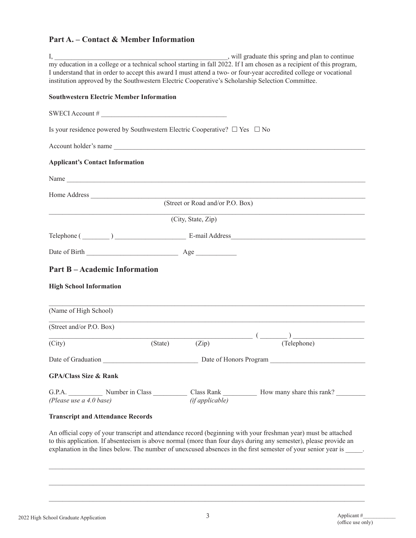# **Part A. – Contact & Member Information**

| , will graduate this spring and plan to continue<br>$I, \_$<br>my education in a college or a technical school starting in fall 2022. If I am chosen as a recipient of this program,<br>I understand that in order to accept this award I must attend a two- or four-year accredited college or vocational<br>institution approved by the Southwestern Electric Cooperative's Scholarship Selection Committee. |                                                 |                                                                                      |                                                                                                                                                                                                                                |  |  |  |
|----------------------------------------------------------------------------------------------------------------------------------------------------------------------------------------------------------------------------------------------------------------------------------------------------------------------------------------------------------------------------------------------------------------|-------------------------------------------------|--------------------------------------------------------------------------------------|--------------------------------------------------------------------------------------------------------------------------------------------------------------------------------------------------------------------------------|--|--|--|
|                                                                                                                                                                                                                                                                                                                                                                                                                | <b>Southwestern Electric Member Information</b> |                                                                                      |                                                                                                                                                                                                                                |  |  |  |
|                                                                                                                                                                                                                                                                                                                                                                                                                |                                                 | SWECI Account #                                                                      |                                                                                                                                                                                                                                |  |  |  |
|                                                                                                                                                                                                                                                                                                                                                                                                                |                                                 | Is your residence powered by Southwestern Electric Cooperative? $\Box$ Yes $\Box$ No |                                                                                                                                                                                                                                |  |  |  |
|                                                                                                                                                                                                                                                                                                                                                                                                                |                                                 | Account holder's name                                                                |                                                                                                                                                                                                                                |  |  |  |
| <b>Applicant's Contact Information</b>                                                                                                                                                                                                                                                                                                                                                                         |                                                 |                                                                                      |                                                                                                                                                                                                                                |  |  |  |
|                                                                                                                                                                                                                                                                                                                                                                                                                |                                                 |                                                                                      |                                                                                                                                                                                                                                |  |  |  |
|                                                                                                                                                                                                                                                                                                                                                                                                                | Home Address                                    |                                                                                      |                                                                                                                                                                                                                                |  |  |  |
|                                                                                                                                                                                                                                                                                                                                                                                                                |                                                 | (Street or Road and/or P.O. Box)                                                     |                                                                                                                                                                                                                                |  |  |  |
|                                                                                                                                                                                                                                                                                                                                                                                                                |                                                 | (City, State, Zip)                                                                   |                                                                                                                                                                                                                                |  |  |  |
|                                                                                                                                                                                                                                                                                                                                                                                                                |                                                 |                                                                                      | Telephone (Channel Communication Communication Communication Communication Communication Communication Communication Communication Communication Communication Communication Communication Communication Communication Communi |  |  |  |
|                                                                                                                                                                                                                                                                                                                                                                                                                |                                                 |                                                                                      |                                                                                                                                                                                                                                |  |  |  |
| <b>Part B-Academic Information</b>                                                                                                                                                                                                                                                                                                                                                                             |                                                 |                                                                                      |                                                                                                                                                                                                                                |  |  |  |
| <b>High School Information</b>                                                                                                                                                                                                                                                                                                                                                                                 |                                                 |                                                                                      |                                                                                                                                                                                                                                |  |  |  |
| (Name of High School)                                                                                                                                                                                                                                                                                                                                                                                          |                                                 |                                                                                      |                                                                                                                                                                                                                                |  |  |  |
| (Street and/or P.O. Box)                                                                                                                                                                                                                                                                                                                                                                                       |                                                 |                                                                                      |                                                                                                                                                                                                                                |  |  |  |
| (City)                                                                                                                                                                                                                                                                                                                                                                                                         | (State)                                         | (Zip)                                                                                | (Telephone)                                                                                                                                                                                                                    |  |  |  |
| Date of Graduation                                                                                                                                                                                                                                                                                                                                                                                             |                                                 |                                                                                      | Date of Honors Program                                                                                                                                                                                                         |  |  |  |
| <b>GPA/Class Size &amp; Rank</b>                                                                                                                                                                                                                                                                                                                                                                               |                                                 |                                                                                      |                                                                                                                                                                                                                                |  |  |  |
| (Please use a 4.0 base)<br><b>Transcript and Attendance Records</b>                                                                                                                                                                                                                                                                                                                                            |                                                 | (if applicable)                                                                      | G.P.A. Number in Class Number and Class Rank Number 1 (1985) Number 1 (1985) Number 1 (1986) Number 1 (1986) Number 1 (1986) Number 1 (1986) Number 1 (1986) Number 1 (1986) Number 1 (1986) Number 1 (1986) Number 1 (1986) N |  |  |  |
|                                                                                                                                                                                                                                                                                                                                                                                                                |                                                 |                                                                                      |                                                                                                                                                                                                                                |  |  |  |

An official copy of your transcript and attendance record (beginning with your freshman year) must be attached to this application. If absenteeism is above normal (more than four days during any semester), please provide an explanation in the lines below. The number of unexcused absences in the first semester of your senior year is \_\_\_\_\_.

 $\mathcal{L}_\mathcal{L} = \{ \mathcal{L}_\mathcal{L} = \{ \mathcal{L}_\mathcal{L} = \{ \mathcal{L}_\mathcal{L} = \{ \mathcal{L}_\mathcal{L} = \{ \mathcal{L}_\mathcal{L} = \{ \mathcal{L}_\mathcal{L} = \{ \mathcal{L}_\mathcal{L} = \{ \mathcal{L}_\mathcal{L} = \{ \mathcal{L}_\mathcal{L} = \{ \mathcal{L}_\mathcal{L} = \{ \mathcal{L}_\mathcal{L} = \{ \mathcal{L}_\mathcal{L} = \{ \mathcal{L}_\mathcal{L} = \{ \mathcal{L}_\mathcal{$ 

 $\mathcal{L}_\mathcal{L} = \{ \mathcal{L}_\mathcal{L} = \{ \mathcal{L}_\mathcal{L} = \{ \mathcal{L}_\mathcal{L} = \{ \mathcal{L}_\mathcal{L} = \{ \mathcal{L}_\mathcal{L} = \{ \mathcal{L}_\mathcal{L} = \{ \mathcal{L}_\mathcal{L} = \{ \mathcal{L}_\mathcal{L} = \{ \mathcal{L}_\mathcal{L} = \{ \mathcal{L}_\mathcal{L} = \{ \mathcal{L}_\mathcal{L} = \{ \mathcal{L}_\mathcal{L} = \{ \mathcal{L}_\mathcal{L} = \{ \mathcal{L}_\mathcal{$ 

 $\mathcal{L}_\mathcal{L} = \{ \mathcal{L}_\mathcal{L} = \{ \mathcal{L}_\mathcal{L} = \{ \mathcal{L}_\mathcal{L} = \{ \mathcal{L}_\mathcal{L} = \{ \mathcal{L}_\mathcal{L} = \{ \mathcal{L}_\mathcal{L} = \{ \mathcal{L}_\mathcal{L} = \{ \mathcal{L}_\mathcal{L} = \{ \mathcal{L}_\mathcal{L} = \{ \mathcal{L}_\mathcal{L} = \{ \mathcal{L}_\mathcal{L} = \{ \mathcal{L}_\mathcal{L} = \{ \mathcal{L}_\mathcal{L} = \{ \mathcal{L}_\mathcal{$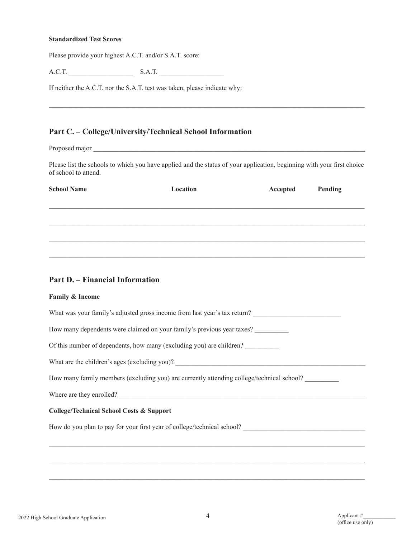#### **Standardized Test Scores**

Please provide your highest A.C.T. and/or S.A.T. score:

A.C.T. \_\_\_\_\_\_\_\_\_\_\_\_\_\_\_\_\_\_\_ S.A.T. \_\_\_\_\_\_\_\_\_\_\_\_\_\_\_\_\_\_\_

If neither the A.C.T. nor the S.A.T. test was taken, please indicate why:

## **Part C. – College/University/Technical School Information**

Proposed major \_\_\_\_\_\_\_\_\_\_\_\_\_\_\_\_\_\_\_\_\_\_\_\_\_\_\_\_\_\_\_\_\_\_\_\_\_\_\_\_\_\_\_\_\_\_\_\_\_\_\_\_\_\_\_\_\_\_\_\_\_\_\_\_\_\_\_\_\_\_\_\_\_\_\_\_\_\_\_\_

Please list the schools to which you have applied and the status of your application, beginning with your first choice of school to attend.

 $\mathcal{L}_\mathcal{L} = \{ \mathcal{L}_\mathcal{L} = \{ \mathcal{L}_\mathcal{L} = \{ \mathcal{L}_\mathcal{L} = \{ \mathcal{L}_\mathcal{L} = \{ \mathcal{L}_\mathcal{L} = \{ \mathcal{L}_\mathcal{L} = \{ \mathcal{L}_\mathcal{L} = \{ \mathcal{L}_\mathcal{L} = \{ \mathcal{L}_\mathcal{L} = \{ \mathcal{L}_\mathcal{L} = \{ \mathcal{L}_\mathcal{L} = \{ \mathcal{L}_\mathcal{L} = \{ \mathcal{L}_\mathcal{L} = \{ \mathcal{L}_\mathcal{$ 

| <b>School Name</b> | Location | Accepted | Pending |
|--------------------|----------|----------|---------|
|                    |          |          |         |
|                    |          |          |         |
|                    |          |          |         |
|                    |          |          |         |
|                    |          |          |         |

## **Part D. – Financial Information**

#### **Family & Income**

| What was your family's adjusted gross income from last year's tax return?                 |  |  |  |
|-------------------------------------------------------------------------------------------|--|--|--|
| How many dependents were claimed on your family's previous year taxes?                    |  |  |  |
| Of this number of dependents, how many (excluding you) are children?                      |  |  |  |
|                                                                                           |  |  |  |
| How many family members (excluding you) are currently attending college/technical school? |  |  |  |
| Where are they enrolled?                                                                  |  |  |  |
| <b>College/Technical School Costs &amp; Support</b>                                       |  |  |  |
|                                                                                           |  |  |  |
|                                                                                           |  |  |  |
|                                                                                           |  |  |  |
|                                                                                           |  |  |  |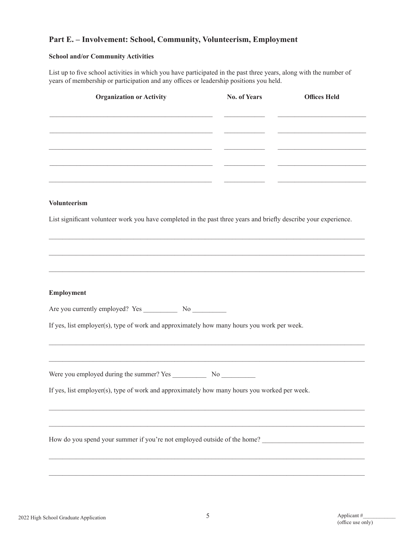# **Part E. – Involvement: School, Community, Volunteerism, Employment**

#### **School and/or Community Activities**

List up to five school activities in which you have participated in the past three years, along with the number of years of membership or participation and any offices or leadership positions you held.

| <b>Organization or Activity</b>                                                                                  | <b>No. of Years</b> | <b>Offices Held</b> |
|------------------------------------------------------------------------------------------------------------------|---------------------|---------------------|
|                                                                                                                  |                     |                     |
|                                                                                                                  |                     |                     |
|                                                                                                                  |                     |                     |
|                                                                                                                  |                     |                     |
|                                                                                                                  |                     |                     |
|                                                                                                                  |                     |                     |
|                                                                                                                  |                     |                     |
| Volunteerism                                                                                                     |                     |                     |
| List significant volunteer work you have completed in the past three years and briefly describe your experience. |                     |                     |
|                                                                                                                  |                     |                     |
|                                                                                                                  |                     |                     |
|                                                                                                                  |                     |                     |
|                                                                                                                  |                     |                     |
| Employment                                                                                                       |                     |                     |
|                                                                                                                  |                     |                     |
| Are you currently employed? Yes No No No                                                                         |                     |                     |
| If yes, list employer(s), type of work and approximately how many hours you work per week.                       |                     |                     |
|                                                                                                                  |                     |                     |
|                                                                                                                  |                     |                     |
|                                                                                                                  |                     |                     |
|                                                                                                                  |                     |                     |
| If yes, list employer(s), type of work and approximately how many hours you worked per week.                     |                     |                     |
|                                                                                                                  |                     |                     |
|                                                                                                                  |                     |                     |
|                                                                                                                  |                     |                     |
|                                                                                                                  |                     |                     |
|                                                                                                                  |                     |                     |
|                                                                                                                  |                     |                     |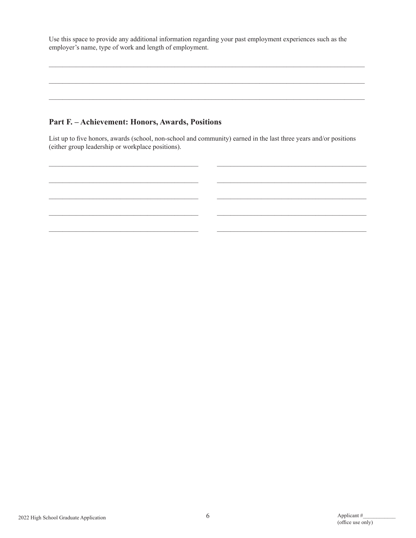Use this space to provide any additional information regarding your past employment experiences such as the employer's name, type of work and length of employment.

 $\mathcal{L}_\mathcal{L} = \{ \mathcal{L}_\mathcal{L} = \{ \mathcal{L}_\mathcal{L} = \{ \mathcal{L}_\mathcal{L} = \{ \mathcal{L}_\mathcal{L} = \{ \mathcal{L}_\mathcal{L} = \{ \mathcal{L}_\mathcal{L} = \{ \mathcal{L}_\mathcal{L} = \{ \mathcal{L}_\mathcal{L} = \{ \mathcal{L}_\mathcal{L} = \{ \mathcal{L}_\mathcal{L} = \{ \mathcal{L}_\mathcal{L} = \{ \mathcal{L}_\mathcal{L} = \{ \mathcal{L}_\mathcal{L} = \{ \mathcal{L}_\mathcal{$ 

 $\mathcal{L}_\mathcal{L} = \{ \mathcal{L}_\mathcal{L} = \{ \mathcal{L}_\mathcal{L} = \{ \mathcal{L}_\mathcal{L} = \{ \mathcal{L}_\mathcal{L} = \{ \mathcal{L}_\mathcal{L} = \{ \mathcal{L}_\mathcal{L} = \{ \mathcal{L}_\mathcal{L} = \{ \mathcal{L}_\mathcal{L} = \{ \mathcal{L}_\mathcal{L} = \{ \mathcal{L}_\mathcal{L} = \{ \mathcal{L}_\mathcal{L} = \{ \mathcal{L}_\mathcal{L} = \{ \mathcal{L}_\mathcal{L} = \{ \mathcal{L}_\mathcal{$ 

 $\mathcal{L}_\mathcal{L} = \{ \mathcal{L}_\mathcal{L} = \{ \mathcal{L}_\mathcal{L} = \{ \mathcal{L}_\mathcal{L} = \{ \mathcal{L}_\mathcal{L} = \{ \mathcal{L}_\mathcal{L} = \{ \mathcal{L}_\mathcal{L} = \{ \mathcal{L}_\mathcal{L} = \{ \mathcal{L}_\mathcal{L} = \{ \mathcal{L}_\mathcal{L} = \{ \mathcal{L}_\mathcal{L} = \{ \mathcal{L}_\mathcal{L} = \{ \mathcal{L}_\mathcal{L} = \{ \mathcal{L}_\mathcal{L} = \{ \mathcal{L}_\mathcal{$ 

# **Part F. – Achievement: Honors, Awards, Positions**

List up to five honors, awards (school, non-school and community) earned in the last three years and/or positions (either group leadership or workplace positions).

 $\mathcal{L}_\mathcal{L} = \mathcal{L}_\mathcal{L} = \mathcal{L}_\mathcal{L} = \mathcal{L}_\mathcal{L} = \mathcal{L}_\mathcal{L} = \mathcal{L}_\mathcal{L} = \mathcal{L}_\mathcal{L} = \mathcal{L}_\mathcal{L} = \mathcal{L}_\mathcal{L} = \mathcal{L}_\mathcal{L} = \mathcal{L}_\mathcal{L} = \mathcal{L}_\mathcal{L} = \mathcal{L}_\mathcal{L} = \mathcal{L}_\mathcal{L} = \mathcal{L}_\mathcal{L} = \mathcal{L}_\mathcal{L} = \mathcal{L}_\mathcal{L}$ 

 $\mathcal{L}_\mathcal{L} = \mathcal{L}_\mathcal{L} = \mathcal{L}_\mathcal{L} = \mathcal{L}_\mathcal{L} = \mathcal{L}_\mathcal{L} = \mathcal{L}_\mathcal{L} = \mathcal{L}_\mathcal{L} = \mathcal{L}_\mathcal{L} = \mathcal{L}_\mathcal{L} = \mathcal{L}_\mathcal{L} = \mathcal{L}_\mathcal{L} = \mathcal{L}_\mathcal{L} = \mathcal{L}_\mathcal{L} = \mathcal{L}_\mathcal{L} = \mathcal{L}_\mathcal{L} = \mathcal{L}_\mathcal{L} = \mathcal{L}_\mathcal{L}$ 

 $\mathcal{L}_\mathcal{L} = \mathcal{L}_\mathcal{L} = \mathcal{L}_\mathcal{L} = \mathcal{L}_\mathcal{L} = \mathcal{L}_\mathcal{L} = \mathcal{L}_\mathcal{L} = \mathcal{L}_\mathcal{L} = \mathcal{L}_\mathcal{L} = \mathcal{L}_\mathcal{L} = \mathcal{L}_\mathcal{L} = \mathcal{L}_\mathcal{L} = \mathcal{L}_\mathcal{L} = \mathcal{L}_\mathcal{L} = \mathcal{L}_\mathcal{L} = \mathcal{L}_\mathcal{L} = \mathcal{L}_\mathcal{L} = \mathcal{L}_\mathcal{L}$ 

 $\mathcal{L}_\mathcal{L} = \mathcal{L}_\mathcal{L} = \mathcal{L}_\mathcal{L} = \mathcal{L}_\mathcal{L} = \mathcal{L}_\mathcal{L} = \mathcal{L}_\mathcal{L} = \mathcal{L}_\mathcal{L} = \mathcal{L}_\mathcal{L} = \mathcal{L}_\mathcal{L} = \mathcal{L}_\mathcal{L} = \mathcal{L}_\mathcal{L} = \mathcal{L}_\mathcal{L} = \mathcal{L}_\mathcal{L} = \mathcal{L}_\mathcal{L} = \mathcal{L}_\mathcal{L} = \mathcal{L}_\mathcal{L} = \mathcal{L}_\mathcal{L}$ 

 $\mathcal{L}_\mathcal{L} = \mathcal{L}_\mathcal{L} = \mathcal{L}_\mathcal{L} = \mathcal{L}_\mathcal{L} = \mathcal{L}_\mathcal{L} = \mathcal{L}_\mathcal{L} = \mathcal{L}_\mathcal{L} = \mathcal{L}_\mathcal{L} = \mathcal{L}_\mathcal{L} = \mathcal{L}_\mathcal{L} = \mathcal{L}_\mathcal{L} = \mathcal{L}_\mathcal{L} = \mathcal{L}_\mathcal{L} = \mathcal{L}_\mathcal{L} = \mathcal{L}_\mathcal{L} = \mathcal{L}_\mathcal{L} = \mathcal{L}_\mathcal{L}$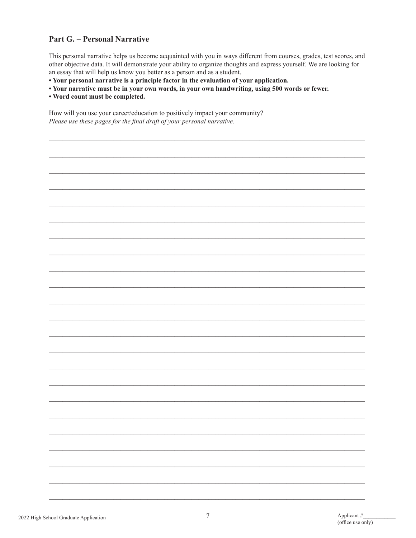## **Part G. - Personal Narrative**

This personal narrative helps us become acquainted with you in ways different from courses, grades, test scores, and other objective data. It will demonstrate your ability to organize thoughts and express yourself. We are looking for an essay that will help us know you better as a person and as a student.

• Your personal narrative is a principle factor in the evaluation of your application.

- Your narrative must be in your own words, in your own handwriting, using 500 words or fewer.
- . Word count must be completed.

How will you use your career/education to positively impact your community? Please use these pages for the final draft of your personal narrative.